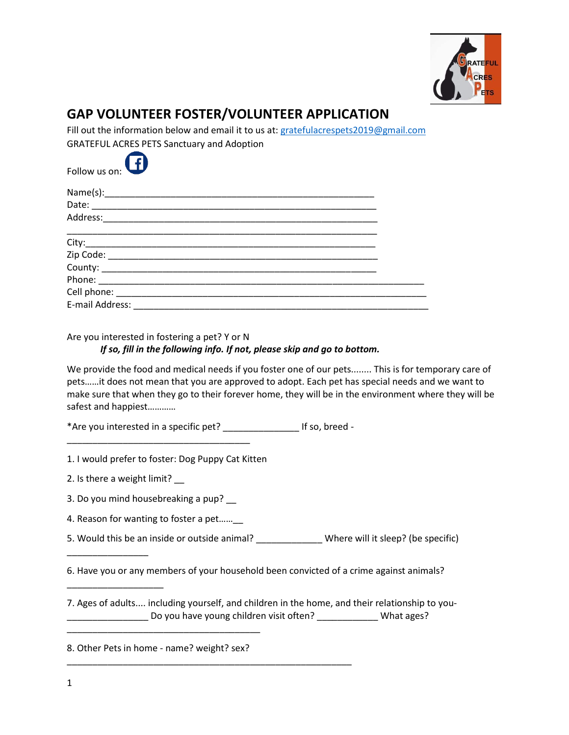

## **GAP VOLUNTEER FOSTER/VOLUNTEER APPLICATION**

Fill out the information below and email it to us at: [gratefulacrespets2019@gmail.com](mailto:gratefulacrespets2019@gmail.com) GRATEFUL ACRES PETS Sanctuary and Adoption



| E-mail Address: ____________ |  |
|------------------------------|--|

Are you interested in fostering a pet? Y or N

## *If so, fill in the following info. If not, please skip and go to bottom.*

We provide the food and medical needs if you foster one of our pets........ This is for temporary care of pets……it does not mean that you are approved to adopt. Each pet has special needs and we want to make sure that when they go to their forever home, they will be in the environment where they will be safest and happiest…………

\*Are you interested in a specific pet? \_\_\_\_\_\_\_\_\_\_\_\_\_\_\_ If so, breed -

\_\_\_\_\_\_\_\_\_\_\_\_\_\_\_\_\_\_\_\_\_\_\_\_\_\_\_\_\_\_\_\_\_\_\_\_\_\_\_\_\_\_\_\_\_\_\_\_\_\_\_\_\_\_\_\_

1. I would prefer to foster: Dog Puppy Cat Kitten

\_\_\_\_\_\_\_\_\_\_\_\_\_\_\_\_\_\_\_\_\_\_\_\_\_\_\_\_\_\_\_\_\_\_\_\_

2. Is there a weight limit? \_\_

\_\_\_\_\_\_\_\_\_\_\_\_\_\_\_\_

\_\_\_\_\_\_\_\_\_\_\_\_\_\_\_\_\_\_\_

3. Do you mind housebreaking a pup? \_\_

4. Reason for wanting to foster a pet……\_\_

5. Would this be an inside or outside animal? \_\_\_\_\_\_\_\_\_\_\_\_\_ Where will it sleep? (be specific)

6. Have you or any members of your household been convicted of a crime against animals?

7. Ages of adults.... including yourself, and children in the home, and their relationship to you- \_\_\_\_\_\_\_\_\_\_\_\_\_\_\_\_ Do you have young children visit often? \_\_\_\_\_\_\_\_\_\_\_\_ What ages?

8. Other Pets in home - name? weight? sex?

\_\_\_\_\_\_\_\_\_\_\_\_\_\_\_\_\_\_\_\_\_\_\_\_\_\_\_\_\_\_\_\_\_\_\_\_\_\_